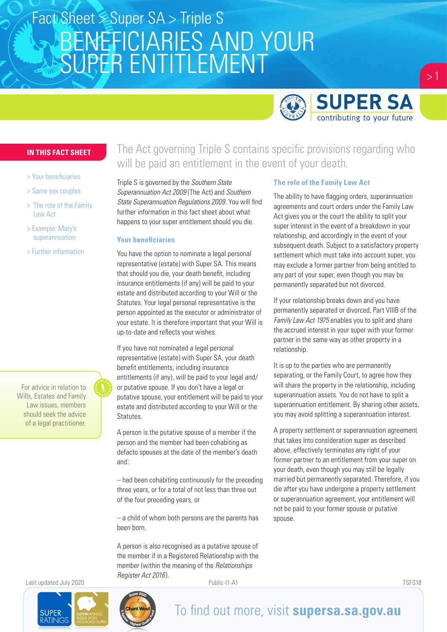# BENEFICIARIES AND YOUR SUPER ENTITLEMENT Fact Sheet > Super SA > Triple S



 $> 1$ 

#### **IN THIS FACT SHEET**

- > Your beneficiaries
- > Same sex couples
- > The role of the Family Law Act
- > Example: Mary's superannuation
- > Further information

For advice in relation to Wills, Estates and Family Law issues, members should seek the advice of a legal practitioner.

The Act governing Triple S contains specific provisions regarding who will be paid an entitlement in the event of your death.

Triple S is governed by the *Southern State Superannuation Act 2009* (The Act) and *Southern State Superannuation Regulations 2009*. You will find further information in this fact sheet about what happens to your super entitlement should you die.

#### **Your beneficiaries**

You have the option to nominate a legal personal representative (estate) with Super SA. This means that should you die, your death benefit, including insurance entitlements (if any) will be paid to your estate and distributed according to your Will or the Statutes. Your legal personal representative is the person appointed as the executor or administrator of your estate. It is therefore important that your Will is up-to-date and reflects your wishes.

If you have not nominated a legal personal representative (estate) with Super SA, your death benefit entitlements, including insurance entitlements (if any), will be paid to your legal and/ or putative spouse. If you don't have a legal or putative spouse, your entitlement will be paid to your estate and distributed according to your Will or the Statutes.

A person is the putative spouse of a member if the person and the member had been cohabiting as defacto spouses at the date of the member's death and:

– had been cohabiting continuously for the preceding three years, or for a total of not less than three out of the four preceding years, or

– a child of whom both persons are the parents has been born.

A person is also recognised as a putative spouse of the member if in a Registered Relationship with the member (within the meaning of the *Relationships Register Act 2016* ).

#### **The role of the Family Law Act**

The ability to have flagging orders, superannuation agreements and court orders under the Family Law Act gives you or the court the ability to split your super interest in the event of a breakdown in your relationship, and accordingly in the event of your subsequent death. Subject to a satisfactory property settlement which must take into account super, you may exclude a former partner from being entitled to any part of your super, even though you may be permanently separated but not divorced.

If your relationship breaks down and you have permanently separated or divorced, Part VIIIB of the *Family Law Act 1975* enables you to split and share the accrued interest in your super with your former partner in the same way as other property in a relationship.

It is up to the parties who are permanently separating, or the Family Court, to agree how they will share the property in the relationship, including superannuation assets. You do not have to split a superannuation entitlement. By sharing other assets, you may avoid splitting a superannuation interest.

A property settlement or superannuation agreement that takes into consideration super as described above, effectively terminates any right of your former partner to an entitlement from your super on your death, even though you may still be legally married but permanently separated. Therefore, if you die after you have undergone a property settlement or superannuation agreement, your entitlement will not be paid to your former spouse or putative spouse.

Last updated July 2020 Public-I1-A1 TSFS18

**SUPER** 



### To find out more, visit **supersa.sa.gov.au**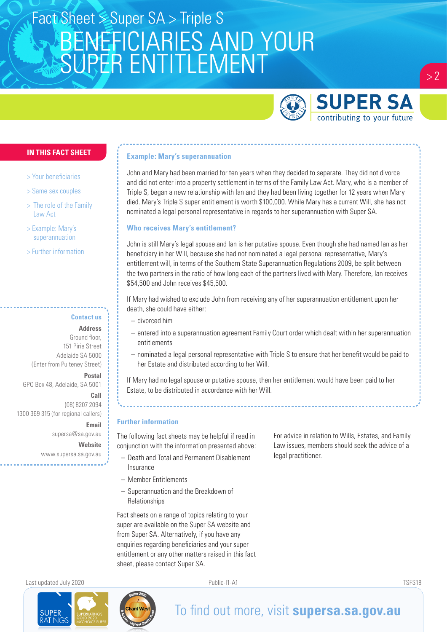# BENEFICIARIES AND YOUR SUPER ENTITLEMENT Fact Sheet > Super SA > Triple S



 $> 2$ 

#### **IN THIS FACT SHEET**

- > Your beneficiaries
- > Same sex couples
- > The role of the Family Law Act
- > Example: Mary's superannuation
- > Further information

### **Contact us**

**Address**

Ground floor, 151 Pirie Street Adelaide SA 5000 (Enter from Pulteney Street)

**Postal**  GPO Box 48, Adelaide, SA 5001

*Call* **Call Call** (08) 8207 2094 1300 369 315 (for regional callers)

> **Email** supersa@sa.gov.au **Website** www.supersa.sa.gov.au

#### **Example: Mary's superannuation**

John and Mary had been married for ten years when they decided to separate. They did not divorce and did not enter into a property settlement in terms of the Family Law Act. Mary, who is a member of Triple S, began a new relationship with Ian and they had been living together for 12 years when Mary died. Mary's Triple S super entitlement is worth \$100,000. While Mary has a current Will, she has not nominated a legal personal representative in regards to her superannuation with Super SA.

#### **Who receives Mary's entitlement?**

John is still Mary's legal spouse and Ian is her putative spouse. Even though she had named Ian as her beneficiary in her Will, because she had not nominated a legal personal representative, Mary's entitlement will, in terms of the Southern State Superannuation Regulations 2009, be split between the two partners in the ratio of how long each of the partners lived with Mary. Therefore, Ian receives \$54,500 and John receives \$45,500.

If Mary had wished to exclude John from receiving any of her superannuation entitlement upon her death, she could have either:

- divorced him
- entered into a superannuation agreement Family Court order which dealt within her superannuation entitlements
- nominated a legal personal representative with Triple S to ensure that her benefit would be paid to her Estate and distributed according to her Will.

If Mary had no legal spouse or putative spouse, then her entitlement would have been paid to her Estate, to be distributed in accordance with her Will.

#### **Further information**

The following fact sheets may be helpful if read in conjunction with the information presented above:

- Death and Total and Permanent Disablement **Insurance**
- Member Entitlements
- Superannuation and the Breakdown of **Relationships**

Fact sheets on a range of topics relating to your super are available on the Super SA website and from Super SA. Alternatively, if you have any enquiries regarding beneficiaries and your super entitlement or any other matters raised in this fact sheet, please contact Super SA.

For advice in relation to Wills, Estates, and Family Law issues, members should seek the advice of a legal practitioner.

Last updated July 2020 Public-I1-A1 TSFS18

**SUPER** 



## To find out more, visit **supersa.sa.gov.au**